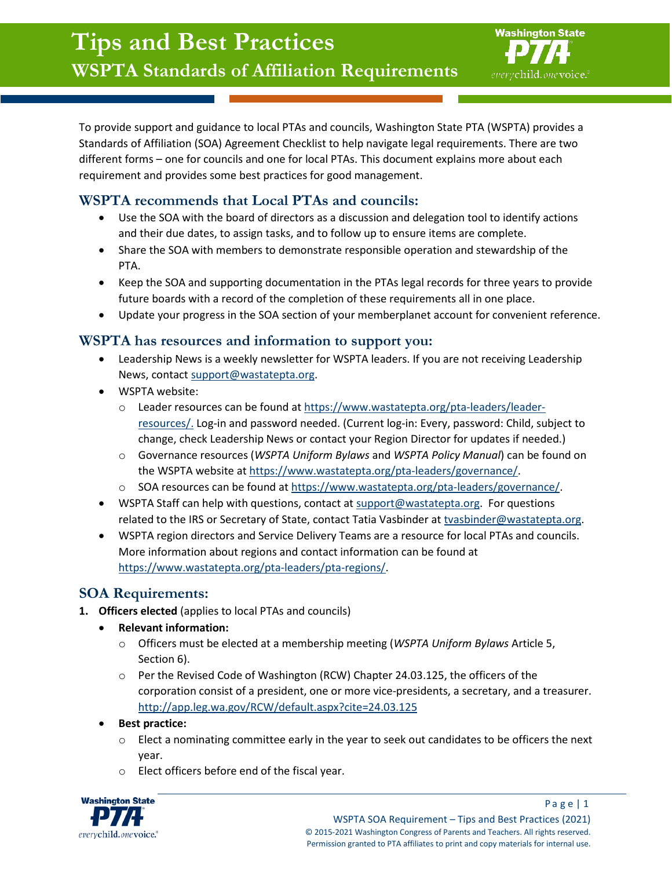

To provide support and guidance to local PTAs and councils, Washington State PTA (WSPTA) provides a Standards of Affiliation (SOA) Agreement Checklist to help navigate legal requirements. There are two different forms – one for councils and one for local PTAs. This document explains more about each requirement and provides some best practices for good management.

# **WSPTA recommends that Local PTAs and councils:**

- Use the SOA with the board of directors as a discussion and delegation tool to identify actions and their due dates, to assign tasks, and to follow up to ensure items are complete.
- Share the SOA with members to demonstrate responsible operation and stewardship of the PTA.
- Keep the SOA and supporting documentation in the PTAs legal records for three years to provide future boards with a record of the completion of these requirements all in one place.
- Update your progress in the SOA section of your memberplanet account for convenient reference.

### **WSPTA has resources and information to support you:**

- Leadership News is a weekly newsletter for WSPTA leaders. If you are not receiving Leadership News, contact [support@wastatepta.org.](mailto:support@wastatepta.org)
- WSPTA website:
	- o Leader resources can be found at [https://www.wastatepta.org/pta-leaders/leader](https://www.wastatepta.org/pta-leaders/leader-resources/)[resources/.](https://www.wastatepta.org/pta-leaders/leader-resources/) Log-in and password needed. (Current log-in: Every, password: Child, subject to change, check Leadership News or contact your Region Director for updates if needed.)
	- o Governance resources (*WSPTA Uniform Bylaws* and *WSPTA Policy Manual*) can be found on the WSPTA website at [https://www.wastatepta.org/pta-leaders/governance/.](https://www.wastatepta.org/pta-leaders/governance/)
	- o SOA resources can be found a[t https://www.wastatepta.org/pta-leaders/governance/.](https://www.wastatepta.org/pta-leaders/governance/)
- WSPTA Staff can help with questions, contact a[t support@wastatepta.org.](mailto:support@wastatepta.org) For questions related to the IRS or Secretary of State, contact Tatia Vasbinder a[t tvasbinder@wastatepta.org.](mailto:tvasbinder@wastatepta.org)
- WSPTA region directors and Service Delivery Teams are a resource for local PTAs and councils. More information about regions and contact information can be found at [https://www.wastatepta.org/pta-leaders/pta-regions/.](https://www.wastatepta.org/pta-leaders/pta-regions/)

## **SOA Requirements:**

- **1. Officers elected** (applies to local PTAs and councils)
	- **Relevant information:**
		- o Officers must be elected at a membership meeting (*WSPTA Uniform Bylaws* Article 5, Section 6).
		- o Per the Revised Code of Washington (RCW) Chapter 24.03.125, the officers of the corporation consist of a president, one or more vice-presidents, a secretary, and a treasurer. <http://app.leg.wa.gov/RCW/default.aspx?cite=24.03.125>
	- **Best practice:**
		- $\circ$  Elect a nominating committee early in the year to seek out candidates to be officers the next year.
		- o Elect officers before end of the fiscal year.

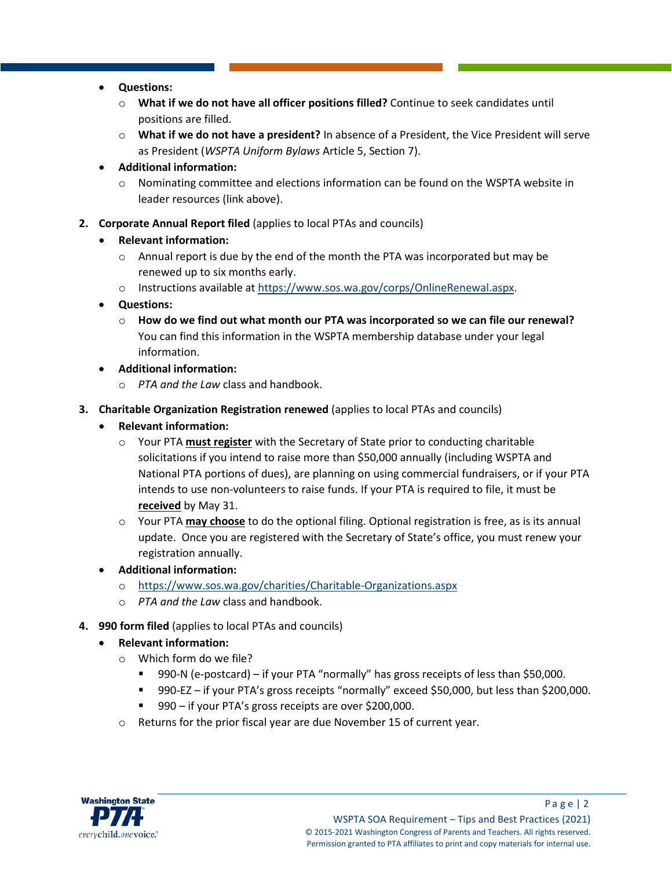- **Questions:**
	- o **What if we do not have all officer positions filled?** Continue to seek candidates until positions are filled.
	- o **What if we do not have a president?** In absence of a President, the Vice President will serve as President (*WSPTA Uniform Bylaws* Article 5, Section 7).
- **Additional information:**
	- $\circ$  Nominating committee and elections information can be found on the WSPTA website in leader resources (link above).
- **2. Corporate Annual Report filed** (applies to local PTAs and councils)
	- **Relevant information:**
		- o Annual report is due by the end of the month the PTA was incorporated but may be renewed up to six months early.
		- o Instructions available at [https://www.sos.wa.gov/corps/OnlineRenewal.aspx.](https://www.sos.wa.gov/corps/OnlineRenewal.aspx)
	- **Questions:**
		- o **How do we find out what month our PTA was incorporated so we can file our renewal?** You can find this information in the WSPTA membership database under your legal information.
	- **Additional information:**
		- o *PTA and the Law* class and handbook.
- **3. Charitable Organization Registration renewed** (applies to local PTAs and councils)
	- **Relevant information:**
		- o Your PTA **must register** with the Secretary of State prior to conducting charitable solicitations if you intend to raise more than \$50,000 annually (including WSPTA and National PTA portions of dues), are planning on using commercial fundraisers, or if your PTA intends to use non-volunteers to raise funds. If your PTA is required to file, it must be **received** by May 31.
		- o Your PTA **may choose** to do the optional filing. Optional registration is free, as is its annual update. Once you are registered with the Secretary of State's office, you must renew your registration annually.
	- **Additional information:**
		- o <https://www.sos.wa.gov/charities/Charitable-Organizations.aspx>
		- o *PTA and the Law* class and handbook.
- **4. 990 form filed** (applies to local PTAs and councils)
	- **Relevant information:**
		- o Which form do we file?
			- 990-N (e-postcard) if your PTA "normally" has gross receipts of less than \$50,000.
			- 990-EZ if your PTA's gross receipts "normally" exceed \$50,000, but less than \$200,000.
			- 990 if your PTA's gross receipts are over \$200,000.
		- o Returns for the prior fiscal year are due November 15 of current year.

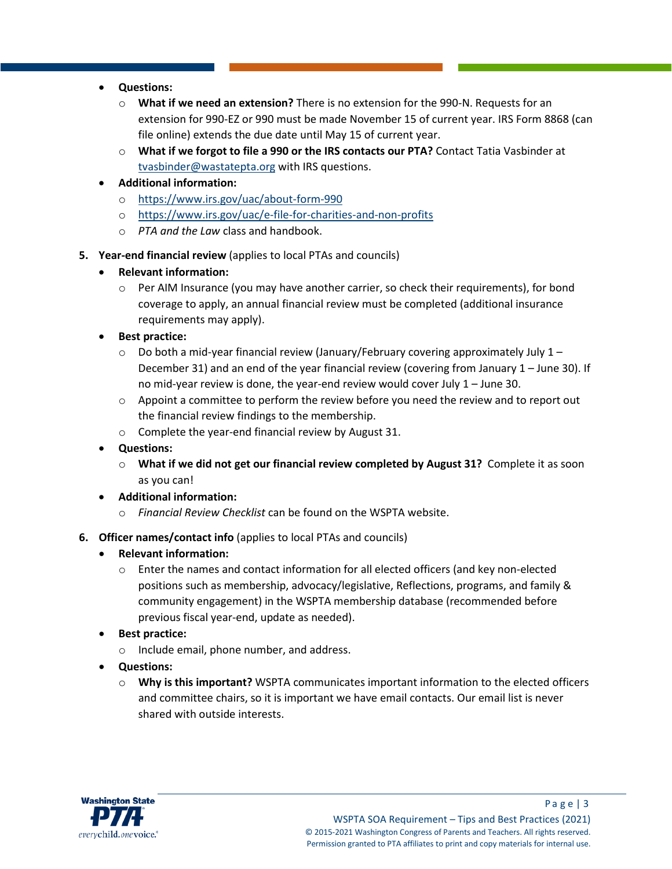- **Questions:**
	- o **What if we need an extension?** There is no extension for the 990-N. Requests for an extension for 990-EZ or 990 must be made November 15 of current year. IRS Form 8868 (can file online) extends the due date until May 15 of current year.
	- o **What if we forgot to file a 990 or the IRS contacts our PTA?** Contact Tatia Vasbinder at [tvasbinder@wastatepta.org](mailto:tvasbinder@wastatepta.org) with IRS questions.
- **Additional information:**
	- o <https://www.irs.gov/uac/about-form-990>
	- o <https://www.irs.gov/uac/e-file-for-charities-and-non-profits>
	- o *PTA and the Law* class and handbook.
- **5. Year-end financial review** (applies to local PTAs and councils)
	- **Relevant information:**
		- o Per AIM Insurance (you may have another carrier, so check their requirements), for bond coverage to apply, an annual financial review must be completed (additional insurance requirements may apply).
	- **Best practice:**
		- $\circ$  Do both a mid-year financial review (January/February covering approximately July 1 December 31) and an end of the year financial review (covering from January 1 – June 30). If no mid-year review is done, the year-end review would cover July 1 – June 30.
		- o Appoint a committee to perform the review before you need the review and to report out the financial review findings to the membership.
		- o Complete the year-end financial review by August 31.
	- **Questions:**
		- o **What if we did not get our financial review completed by August 31?** Complete it as soon as you can!
	- **Additional information:**
		- o *Financial Review Checklist* can be found on the WSPTA website.
- **6. Officer names/contact info** (applies to local PTAs and councils)
	- **Relevant information:**
		- $\circ$  Enter the names and contact information for all elected officers (and key non-elected positions such as membership, advocacy/legislative, Reflections, programs, and family & community engagement) in the WSPTA membership database (recommended before previous fiscal year-end, update as needed).
	- **Best practice:**
		- o Include email, phone number, and address.
	- **Questions:**
		- o **Why is this important?** WSPTA communicates important information to the elected officers and committee chairs, so it is important we have email contacts. Our email list is never shared with outside interests.

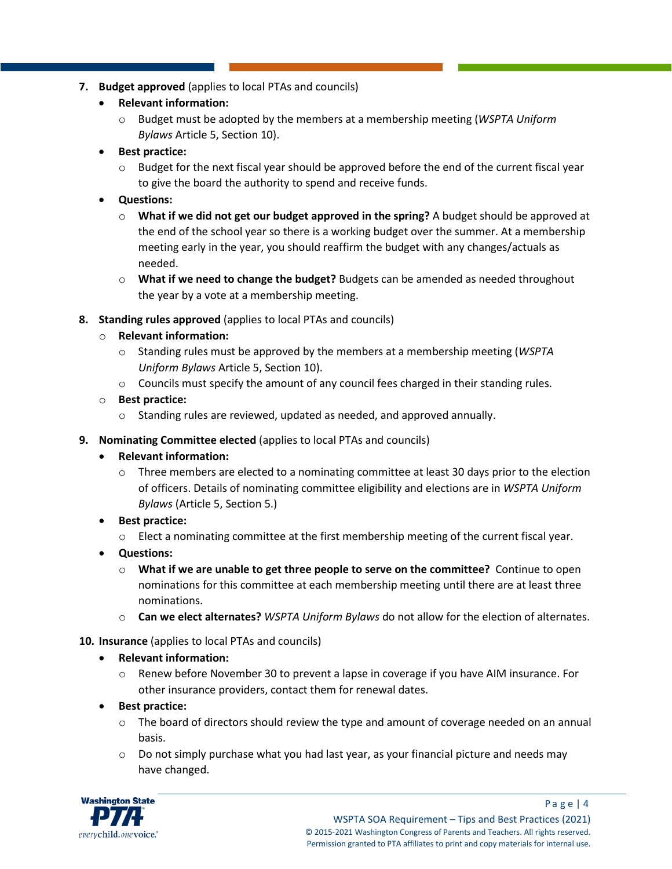- **7. Budget approved** (applies to local PTAs and councils)
	- **Relevant information:**
		- o Budget must be adopted by the members at a membership meeting (*WSPTA Uniform Bylaws* Article 5, Section 10).
	- **Best practice:**
		- $\circ$  Budget for the next fiscal year should be approved before the end of the current fiscal year to give the board the authority to spend and receive funds.
	- **Questions:**
		- o **What if we did not get our budget approved in the spring?** A budget should be approved at the end of the school year so there is a working budget over the summer. At a membership meeting early in the year, you should reaffirm the budget with any changes/actuals as needed.
		- o **What if we need to change the budget?** Budgets can be amended as needed throughout the year by a vote at a membership meeting.
- **8. Standing rules approved** (applies to local PTAs and councils)
	- o **Relevant information:**
		- o Standing rules must be approved by the members at a membership meeting (*WSPTA Uniform Bylaws* Article 5, Section 10).
		- $\circ$  Councils must specify the amount of any council fees charged in their standing rules.
	- o **Best practice:**
		- o Standing rules are reviewed, updated as needed, and approved annually.
- **9. Nominating Committee elected** (applies to local PTAs and councils)
	- **Relevant information:** 
		- $\circ$  Three members are elected to a nominating committee at least 30 days prior to the election of officers. Details of nominating committee eligibility and elections are in *WSPTA Uniform Bylaws* (Article 5, Section 5.)
	- **Best practice:**
		- o Elect a nominating committee at the first membership meeting of the current fiscal year.
	- **Questions:**
		- o **What if we are unable to get three people to serve on the committee?** Continue to open nominations for this committee at each membership meeting until there are at least three nominations.
		- o **Can we elect alternates?** *WSPTA Uniform Bylaws* do not allow for the election of alternates.
- **10. Insurance** (applies to local PTAs and councils)
	- **Relevant information:**
		- o Renew before November 30 to prevent a lapse in coverage if you have AIM insurance. For other insurance providers, contact them for renewal dates.
	- **Best practice:**
		- $\circ$  The board of directors should review the type and amount of coverage needed on an annual basis.
		- $\circ$  Do not simply purchase what you had last year, as your financial picture and needs may have changed.

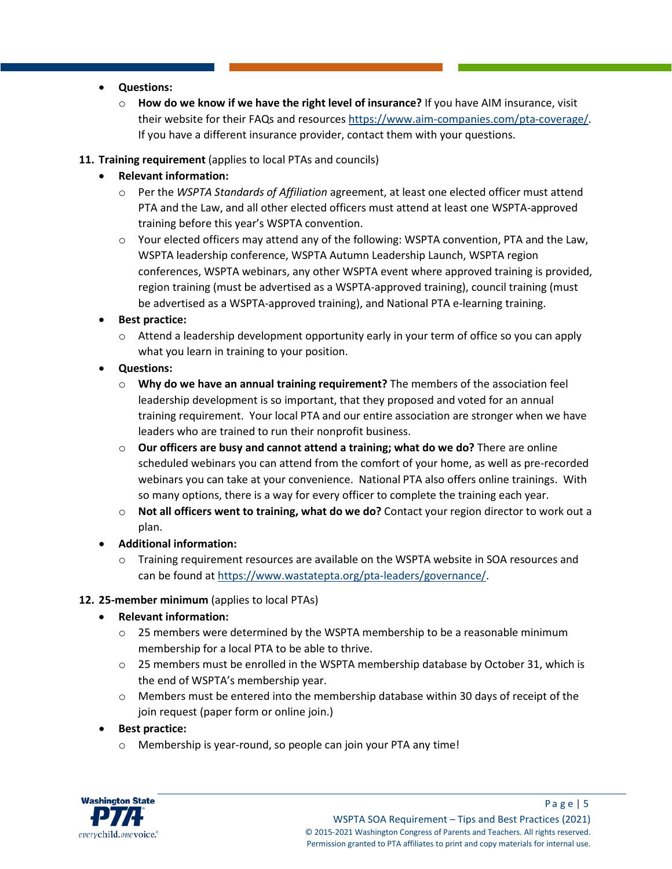- **Questions:**
	- How do we know if we have the right level of insurance? If you have AIM insurance, visit their website for their FAQs and resource[s https://www.aim-companies.com/pta-coverage/.](https://www.aim-companies.com/pta-coverage/) If you have a different insurance provider, contact them with your questions.
- **11. Training requirement** (applies to local PTAs and councils)
	- **Relevant information:**
		- o Per the *WSPTA Standards of Affiliation* agreement, at least one elected officer must attend PTA and the Law, and all other elected officers must attend at least one WSPTA-approved training before this year's WSPTA convention.
		- $\circ$  Your elected officers may attend any of the following: WSPTA convention, PTA and the Law, WSPTA leadership conference, WSPTA Autumn Leadership Launch, WSPTA region conferences, WSPTA webinars, any other WSPTA event where approved training is provided, region training (must be advertised as a WSPTA-approved training), council training (must be advertised as a WSPTA-approved training), and National PTA e-learning training.
	- **Best practice:**
		- $\circ$  Attend a leadership development opportunity early in your term of office so you can apply what you learn in training to your position.
	- **Questions:**
		- o **Why do we have an annual training requirement?** The members of the association feel leadership development is so important, that they proposed and voted for an annual training requirement. Your local PTA and our entire association are stronger when we have leaders who are trained to run their nonprofit business.
		- o **Our officers are busy and cannot attend a training; what do we do?** There are online scheduled webinars you can attend from the comfort of your home, as well as pre-recorded webinars you can take at your convenience. National PTA also offers online trainings. With so many options, there is a way for every officer to complete the training each year.
		- o **Not all officers went to training, what do we do?** Contact your region director to work out a plan.
	- **Additional information:**
		- o Training requirement resources are available on the WSPTA website in SOA resources and can be found at [https://www.wastatepta.org/pta-leaders/governance/.](https://www.wastatepta.org/pta-leaders/governance/)
- **12. 25-member minimum** (applies to local PTAs)
	- **Relevant information:**
		- $\circ$  25 members were determined by the WSPTA membership to be a reasonable minimum membership for a local PTA to be able to thrive.
		- $\circ$  25 members must be enrolled in the WSPTA membership database by October 31, which is the end of WSPTA's membership year.
		- $\circ$  Members must be entered into the membership database within 30 days of receipt of the join request (paper form or online join.)
	- **Best practice:**
		- o Membership is year-round, so people can join your PTA any time!

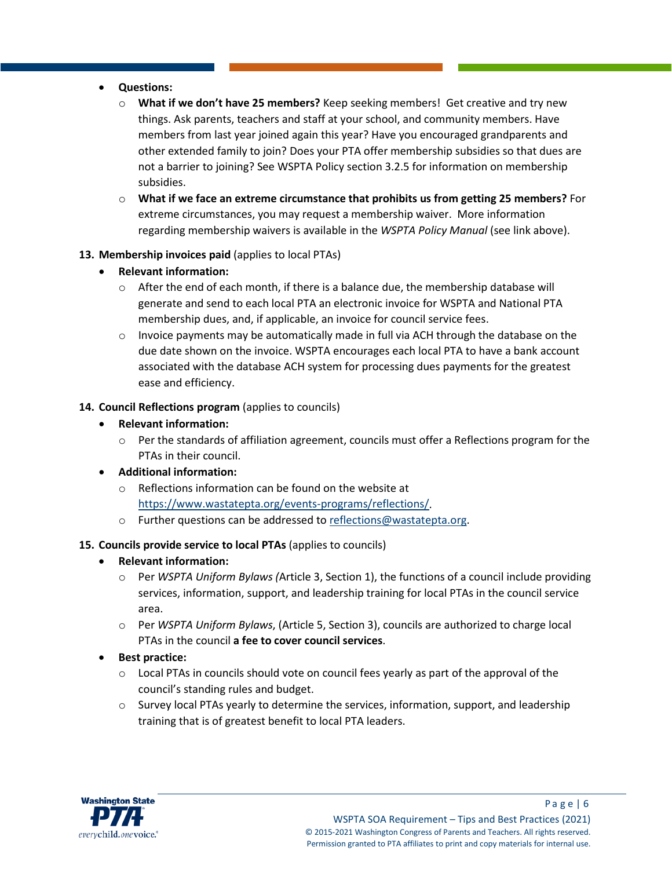#### • **Questions:**

- **What if we don't have 25 members?** Keep seeking members! Get creative and try new things. Ask parents, teachers and staff at your school, and community members. Have members from last year joined again this year? Have you encouraged grandparents and other extended family to join? Does your PTA offer membership subsidies so that dues are not a barrier to joining? See WSPTA Policy section 3.2.5 for information on membership subsidies.
- o **What if we face an extreme circumstance that prohibits us from getting 25 members?** For extreme circumstances, you may request a membership waiver. More information regarding membership waivers is available in the *WSPTA Policy Manual* (see link above).

#### **13. Membership invoices paid** (applies to local PTAs)

- **Relevant information:**
	- $\circ$  After the end of each month, if there is a balance due, the membership database will generate and send to each local PTA an electronic invoice for WSPTA and National PTA membership dues, and, if applicable, an invoice for council service fees.
	- $\circ$  Invoice payments may be automatically made in full via ACH through the database on the due date shown on the invoice. WSPTA encourages each local PTA to have a bank account associated with the database ACH system for processing dues payments for the greatest ease and efficiency.

#### **14. Council Reflections program** (applies to councils)

- **Relevant information:**
	- $\circ$  Per the standards of affiliation agreement, councils must offer a Reflections program for the PTAs in their council.
- **Additional information:**
	- o Reflections information can be found on the website at [https://www.wastatepta.org/events-programs/reflections/.](https://www.wastatepta.org/events-programs/reflections/)
	- o Further questions can be addressed to [reflections@wastatepta.org.](mailto:reflections@wastatepta.org)

### **15. Councils provide service to local PTAs** (applies to councils)

- **Relevant information:**
	- o Per *WSPTA Uniform Bylaws (*Article 3, Section 1), the functions of a council include providing services, information, support, and leadership training for local PTAs in the council service area.
	- o Per *WSPTA Uniform Bylaws*, (Article 5, Section 3), councils are authorized to charge local PTAs in the council **a fee to cover council services**.
- **Best practice:** 
	- $\circ$  Local PTAs in councils should vote on council fees yearly as part of the approval of the council's standing rules and budget.
	- $\circ$  Survey local PTAs yearly to determine the services, information, support, and leadership training that is of greatest benefit to local PTA leaders.